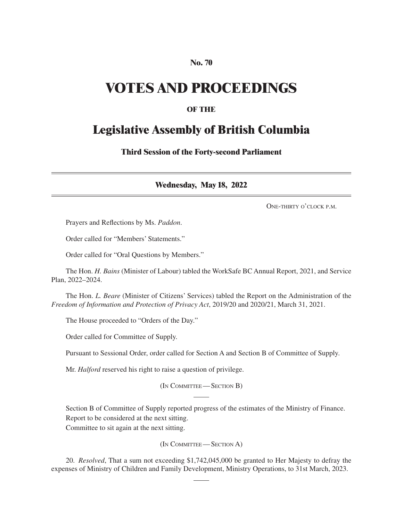#### **No. 70**

## **VOTES AND PROCEEDINGS**

#### **OF THE**

### **Legislative Assembly of British Columbia**

**Third Session of the Forty-second Parliament**

**Wednesday, May 18, 2022**

One-thirty o'clock p.m.

Prayers and Reflections by Ms. *Paddon*.

Order called for "Members' Statements."

Order called for "Oral Questions by Members."

The Hon. *H. Bains* (Minister of Labour) tabled the WorkSafe BC Annual Report, 2021, and Service Plan, 2022–2024.

The Hon. *L. Beare* (Minister of Citizens' Services) tabled the Report on the Administration of the *Freedom of Information and Protection of Privacy Act*, 2019/20 and 2020/21, March 31, 2021.

The House proceeded to "Orders of the Day."

Order called for Committee of Supply.

Pursuant to Sessional Order, order called for Section A and Section B of Committee of Supply.

Mr. *Halford* reserved his right to raise a question of privilege.

(In Committee—Section B)

Section B of Committee of Supply reported progress of the estimates of the Ministry of Finance. Report to be considered at the next sitting.

Committee to sit again at the next sitting.

(In Committee—Section A)

20. *Resolved*, That a sum not exceeding \$1,742,045,000 be granted to Her Majesty to defray the expenses of Ministry of Children and Family Development, Ministry Operations, to 31st March, 2023.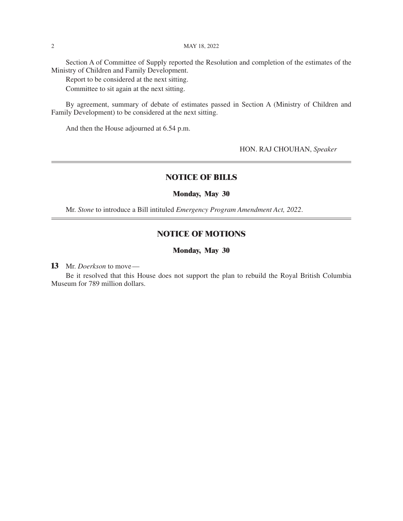Section A of Committee of Supply reported the Resolution and completion of the estimates of the Ministry of Children and Family Development.

Report to be considered at the next sitting.

Committee to sit again at the next sitting.

By agreement, summary of debate of estimates passed in Section A (Ministry of Children and Family Development) to be considered at the next sitting.

And then the House adjourned at 6.54 p.m.

HON. RAJ CHOUHAN, *Speaker*

#### **NOTICE OF BILLS**

#### **Monday, May 30**

Mr. *Stone* to introduce a Bill intituled *Emergency Program Amendment Act, 2022*.

#### **NOTICE OF MOTIONS**

#### **Monday, May 30**

**13** Mr. *Doerkson* to move—

Be it resolved that this House does not support the plan to rebuild the Royal British Columbia Museum for 789 million dollars.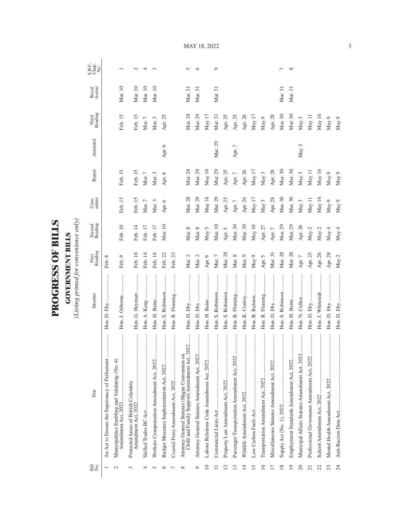| $\zeta$     |        |
|-------------|--------|
| 大地震         |        |
|             | Ξ      |
| C           |        |
|             | E      |
| <b>COLO</b> | ∶      |
|             | ā<br>Ė |
|             |        |
|             |        |
|             |        |

**GOVERNMENT BILLS**<br>(Listing printed for convenience only) *(Listing printed for convenience only)*

| Bill<br>No.              | Title                                                                                           | Member            | First<br>Reading | Second<br>Reading | $Com-$   | Report      | Amended | Third<br>Reading | Royal<br>Assent | S.B.C.<br>Chap.<br>No. |
|--------------------------|-------------------------------------------------------------------------------------------------|-------------------|------------------|-------------------|----------|-------------|---------|------------------|-----------------|------------------------|
|                          | An Act to Ensure the Supremacy of Parliament                                                    |                   | Feb. 8           |                   |          |             |         |                  |                 |                        |
|                          | Municipalities Enabling and Validating (No. 4)<br>Amendment Act, 2022                           | Hon. J. Osborne   | Feb. 9           | Feb. 10           | Feb. 15  | Feb. 15     |         | Feb. 15          | Mar. 10         |                        |
| 3                        | <br>Protected Areas of British Columbia                                                         | Hon. G. Heyman    | Feb. 10          | Feb. 14           | Feb. 15  | Feb. 15     |         | Feb. 15          | Mar. 10         | $\mathbf{\sim}$        |
|                          | .                                                                                               |                   | Feb. 14          | Feb. 17           | Mar. $7$ | Mar. $7$    |         | Mar. 7           | Mar. 10         | 4                      |
|                          | Workers Compensation Amendment Act, 2022                                                        |                   | Feb. 16          | Feb. 17           | Mar. $3$ | Mar. 3      |         | Mar. 3           | Mar. 10         | 3                      |
|                          | <br>Budget Measures Implementation Act, 2022                                                    | Hon. S. Robinson  | Feb. 22          | Mar. 10           | Apr. 6   | Apr. 6      | Apr. 6  | Apr. 25          |                 |                        |
|                          |                                                                                                 | Hon. R. Fleming   | Feb. 23          |                   |          |             |         |                  |                 |                        |
| ∝                        | Child and Family Support) Amendment Act, 2022<br>Attorney General Statutes (Hague Convention on |                   | Mar. 2           | Mar. 8            | Mar. 28  | Mar. 28     |         | Mar. 28          | Mar. 31         | S                      |
| $\circ$                  | Attorney General Statutes Amendment Act, 2022.                                                  |                   | Mar. $2$         | Mar. 8            | Mar. 29  | Mar. 29     |         | Mar. 29          | Mar. 31         | ७                      |
| $\supseteq$              | <br>Labour Relations Code Amendment Act, 2022                                                   |                   | Apr. 6           | May 5             | May $16$ | May 16      |         | May $17$         |                 |                        |
|                          |                                                                                                 | Hon. S. Robinson  | Mar. $7$         | Mar. 10           | Mar. 29  | Mar. 29     | Mar. 29 | Mar. 31          | Mar. 31         | ᡋ                      |
| $\overline{\mathcal{C}}$ |                                                                                                 | Hon. S. Robinson  | Mar. 28          | Apr. 5            | Apr. 25  | Apr. $25\,$ |         | Apr. 25          |                 |                        |
| ≌                        | Passenger Transportation Amendment Act, 2022                                                    | Hon. R. Fleming   | Mar. $8$         | Mar. 30           | Apr. $7$ | Apr. $7\,$  | Apr. 7  | Apr. 25          |                 |                        |
| $\overline{1}$           |                                                                                                 |                   | Mar. 9           | Mar. 30           | Apr. 26  | Apr. 26     |         | Apr. 26          |                 |                        |
| $\overline{5}$           |                                                                                                 | Hon. B. Ralston   | May 9            | May 10            | May $17$ | May $17$    |         | May $17$         |                 |                        |
| $\overline{16}$          |                                                                                                 | Hon. R. Fleming   | Apr. 5           | Apr. 27           | May $3$  | May 3       |         | May 9            |                 |                        |
| 17                       | Miscellaneous Statutes Amendment Act, 2022                                                      | <br>Hon. D. Eby   | Mar. 31          | Apr. $7$          | Apr. 28  | Apr. 28     |         | Apr. 28          |                 |                        |
| $\frac{8}{2}$            |                                                                                                 | Hon. S. Robinson  | Mar. 28          | Mar. 29           | Mar. 30  | Mar. 30     |         | Mar. 30          | Mar. 31         | ┍                      |
| $\overline{19}$          | <br>Employment Standards Amendment Act, 2022                                                    |                   | Mar. 28          | Mar. 29           | Mar. 30  | Mar. 30     |         | Mar. 30          | Mar. 31         | $\infty$               |
| 20                       | <br>Municipal Affairs Statutes Amendment Act, 2022                                              |                   | Apr. $7\,$       | Apr. 26           | May $3$  | May $3$     | May 3   | May 3            |                 |                        |
| $\overline{\circ}$       |                                                                                                 |                   | Apr. 25          | May $2$           | May 11   | May 11      |         | May 11           |                 |                        |
| 22                       |                                                                                                 | Hon. J. Whiteside | Apr. 26          | May 2             | May $16$ | May 16      |         | May 16           |                 |                        |
| 23                       |                                                                                                 |                   | Apr. 28          | May 4             | May 9    | May 9       |         | May 9            |                 |                        |
| 24                       |                                                                                                 |                   | May 2            | May 4             | May 9    | May $9$     |         | May 9            |                 |                        |

MAY 18, 2022

3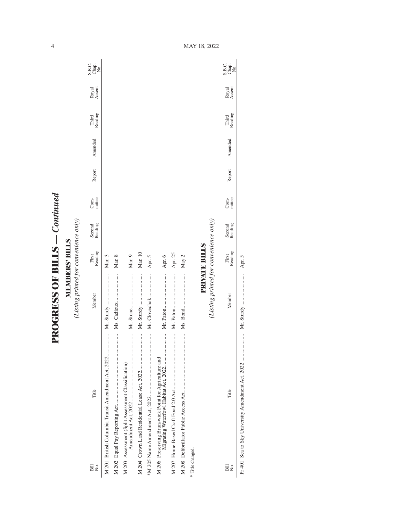**PROGRESS OF BILLS - Continued PROGRESS OF BILLS** *— Continued*

**MEMBERS' BILLS**<br>(Listing printed for convenience only) *(Listing printed for convenience only)* **MEMBERS' BILLS**

| Bill<br>Σó       | Title                                                | Member                                 | Reading<br>First | Second<br>Reading | mittee<br>Com- | Report | Amended | Third<br>Reading | Royal<br>Assent | C.<br>S.B.e.<br>S.B.e. |
|------------------|------------------------------------------------------|----------------------------------------|------------------|-------------------|----------------|--------|---------|------------------|-----------------|------------------------|
|                  | M 201 British Columbia Transit Amendment Act, 2022   | Mr. Sturdy                             | Mar. 3           |                   |                |        |         |                  |                 |                        |
|                  |                                                      | Ms. Cadieux                            | Mar. 8           |                   |                |        |         |                  |                 |                        |
|                  | M 203 Assessment (Split Assessment Classification)   |                                        | Mar. 9           |                   |                |        |         |                  |                 |                        |
|                  |                                                      | Mr. Sturdy                             | Mar. 10          |                   |                |        |         |                  |                 |                        |
|                  |                                                      | Mr. Clovechok                          | Apr. 5           |                   |                |        |         |                  |                 |                        |
|                  | M 206 Preserving Brunswick Point for Agriculture and |                                        | Apr. 6           |                   |                |        |         |                  |                 |                        |
|                  |                                                      |                                        | Apr. 25          |                   |                |        |         |                  |                 |                        |
|                  |                                                      |                                        | May 2            |                   |                |        |         |                  |                 |                        |
| * Title changed. |                                                      |                                        |                  |                   |                |        |         |                  |                 |                        |
|                  |                                                      |                                        | PRIVATE BILLS    |                   |                |        |         |                  |                 |                        |
|                  |                                                      | (Listing printed for convenience only) |                  |                   |                |        |         |                  |                 |                        |
| Bill<br>Σó       | Title                                                | Member                                 | Reading<br>First | Second<br>Reading | Com-<br>mittee | Report | Amended | Third<br>Reading | Royal<br>Assent | C<br>Sago<br>Sago      |

Pr 401 Sea to Sky University Amendment Act, 2022 ..................... Mr. Sturdy ........................ Apr. 5

 $\overline{\phantom{a}}$ 

4